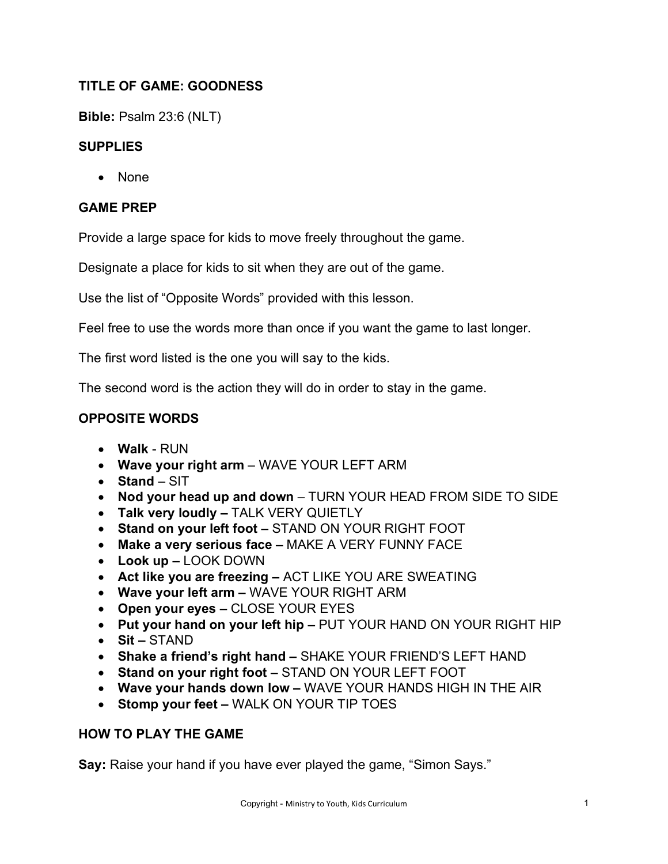# **TITLE OF GAME: GOODNESS**

**Bible:** Psalm 23:6 (NLT)

## **SUPPLIES**

• None

## **GAME PREP**

Provide a large space for kids to move freely throughout the game.

Designate a place for kids to sit when they are out of the game.

Use the list of "Opposite Words" provided with this lesson.

Feel free to use the words more than once if you want the game to last longer.

The first word listed is the one you will say to the kids.

The second word is the action they will do in order to stay in the game.

## **OPPOSITE WORDS**

- **Walk** RUN
- **Wave your right arm** WAVE YOUR LEFT ARM
- **Stand**  SIT
- **Nod your head up and down** TURN YOUR HEAD FROM SIDE TO SIDE
- **Talk very loudly –** TALK VERY QUIETLY
- **Stand on your left foot –** STAND ON YOUR RIGHT FOOT
- **Make a very serious face –** MAKE A VERY FUNNY FACE
- **Look up –** LOOK DOWN
- **Act like you are freezing –** ACT LIKE YOU ARE SWEATING
- **Wave your left arm –** WAVE YOUR RIGHT ARM
- **Open your eyes –** CLOSE YOUR EYES
- **Put your hand on your left hip –** PUT YOUR HAND ON YOUR RIGHT HIP
- **Sit –** STAND
- **Shake a friend's right hand –** SHAKE YOUR FRIEND'S LEFT HAND
- **Stand on your right foot –** STAND ON YOUR LEFT FOOT
- **Wave your hands down low –** WAVE YOUR HANDS HIGH IN THE AIR
- **Stomp your feet –** WALK ON YOUR TIP TOES

## **HOW TO PLAY THE GAME**

**Say:** Raise your hand if you have ever played the game, "Simon Says."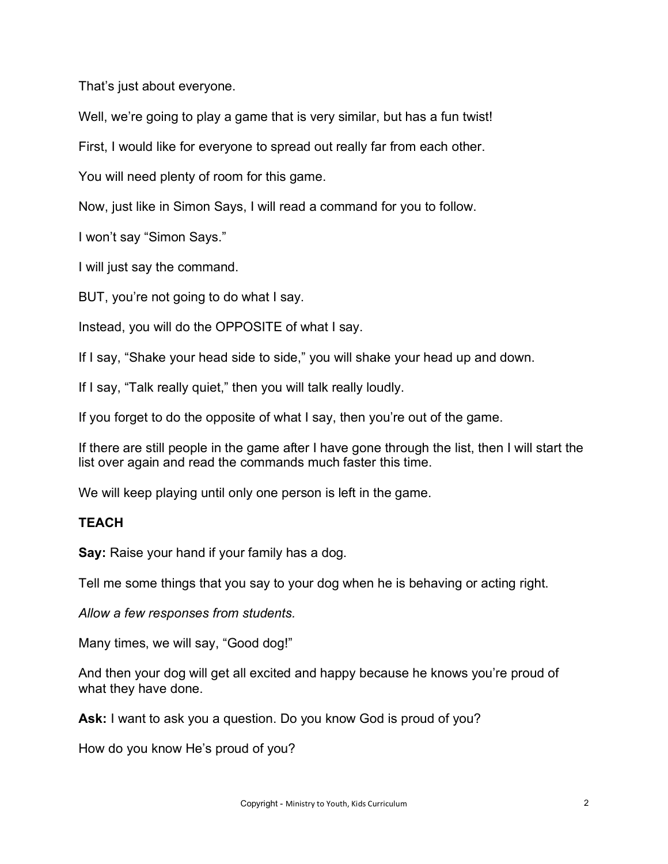That's just about everyone.

Well, we're going to play a game that is very similar, but has a fun twist!

First, I would like for everyone to spread out really far from each other.

You will need plenty of room for this game.

Now, just like in Simon Says, I will read a command for you to follow.

I won't say "Simon Says."

I will just say the command.

BUT, you're not going to do what I say.

Instead, you will do the OPPOSITE of what I say.

If I say, "Shake your head side to side," you will shake your head up and down.

If I say, "Talk really quiet," then you will talk really loudly.

If you forget to do the opposite of what I say, then you're out of the game.

If there are still people in the game after I have gone through the list, then I will start the list over again and read the commands much faster this time.

We will keep playing until only one person is left in the game.

## **TEACH**

**Say:** Raise your hand if your family has a dog.

Tell me some things that you say to your dog when he is behaving or acting right.

*Allow a few responses from students.*

Many times, we will say, "Good dog!"

And then your dog will get all excited and happy because he knows you're proud of what they have done.

Ask: I want to ask you a question. Do you know God is proud of you?

How do you know He's proud of you?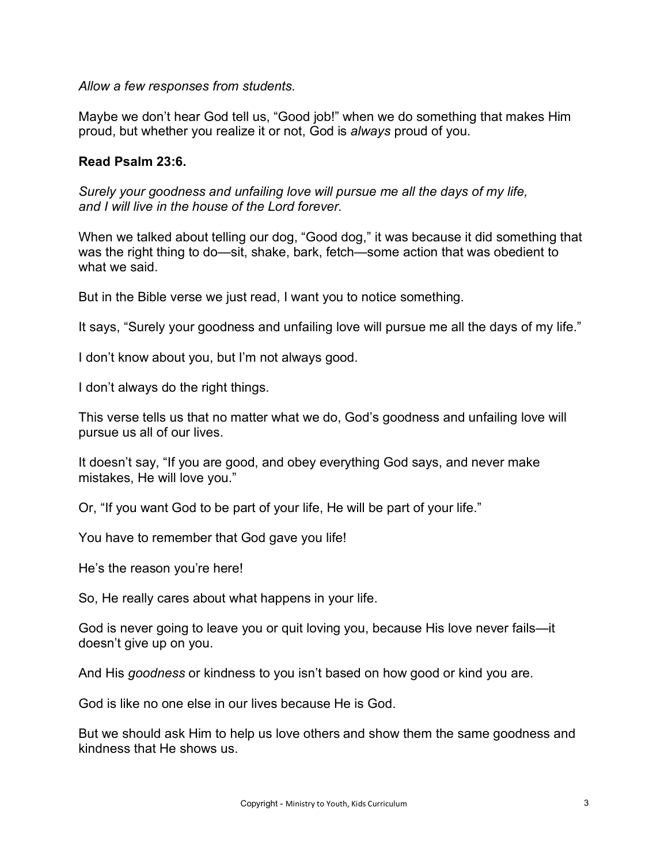*Allow a few responses from students.*

Maybe we don't hear God tell us, "Good job!" when we do something that makes Him proud, but whether you realize it or not, God is *always* proud of you.

## **Read Psalm 23:6.**

*Surely your goodness and unfailing love will pursue me all the days of my life, and I will live in the house of the Lord forever.*

When we talked about telling our dog, "Good dog," it was because it did something that was the right thing to do—sit, shake, bark, fetch—some action that was obedient to what we said.

But in the Bible verse we just read, I want you to notice something.

It says, "Surely your goodness and unfailing love will pursue me all the days of my life."

I don't know about you, but I'm not always good.

I don't always do the right things.

This verse tells us that no matter what we do, God's goodness and unfailing love will pursue us all of our lives.

It doesn't say, "If you are good, and obey everything God says, and never make mistakes, He will love you."

Or, "If you want God to be part of your life, He will be part of your life."

You have to remember that God gave you life!

He's the reason you're here!

So, He really cares about what happens in your life.

God is never going to leave you or quit loving you, because His love never fails—it doesn't give up on you.

And His *goodness* or kindness to you isn't based on how good or kind you are.

God is like no one else in our lives because He is God.

But we should ask Him to help us love others and show them the same goodness and kindness that He shows us.